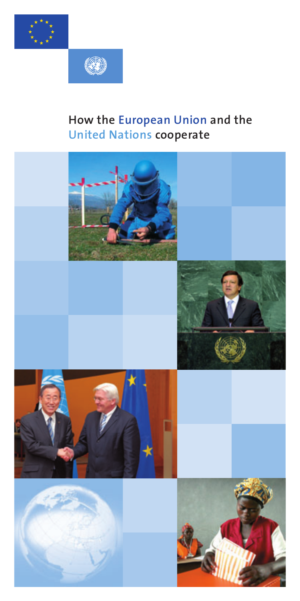



# **How the European Union and the United Nations cooperate**

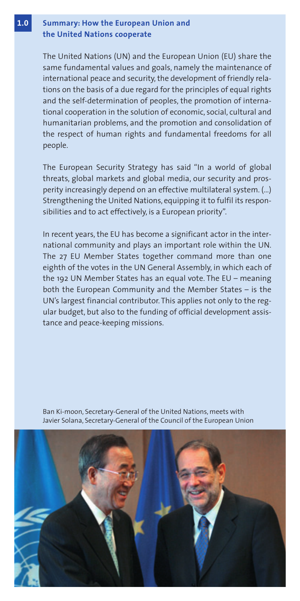### **1.0 Summary: How the European Union and the United Nations cooperate**

The United Nations (UN) and the European Union (EU) share the same fundamental values and goals, namely the maintenance of international peace and security, the development of friendly relations on the basis of a due regard for the principles of equal rights and the self-determination of peoples, the promotion of international cooperation in the solution of economic, social, cultural and humanitarian problems, and the promotion and consolidation of the respect of human rights and fundamental freedoms for all people.

The European Security Strategy has said "In a world of global threats, global markets and global media, our security and prosperity increasingly depend on an effective multilateral system. (…) Strengthening the United Nations, equipping it to fulfil its responsibilities and to act effectively, is a European priority".

In recent years, the EU has become a significant actor in the international community and plays an important role within the UN. The 27 EU Member States together command more than one eighth of the votes in the UN General Assembly, in which each of the 192 UN Member States has an equal vote. The EU – meaning both the European Community and the Member States – is the UN's largest financial contributor. This applies not only to the regular budget, but also to the funding of official development assistance and peace-keeping missions.

Ban Ki-moon, Secretary-General of the United Nations, meets with Javier Solana, Secretary-General of the Council of the European Union

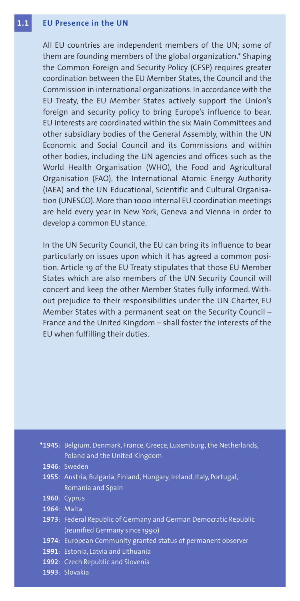#### **1.1EU Presence in the UN**

All EU countries are independent members of the UN; some of them are founding members of the global organization.\* Shaping the Common Foreign and Security Policy (CFSP) requires greater coordination between the EU Member States, the Council and the Commission in international organizations. In accordance with the EU Treaty, the EU Member States actively support the Union's foreign and security policy to bring Europe's influence to bear. EU interests are coordinated within the six Main Committees and other subsidiary bodies of the General Assembly, within the UN Economic and Social Council and its Commissions and within other bodies, including the UN agencies and offices such as the World Health Organisation (WHO), the Food and Agricultural Organisation (FAO), the International Atomic Energy Authority (IAEA) and the UN Educational, Scientific and Cultural Organisation (UNESCO). More than 1000 internal EU coordination meetings are held every year in New York, Geneva and Vienna in order to develop a common EU stance.

In the UN Security Council, the EU can bring its influence to bear particularly on issues upon which it has agreed a common position. Article 19 of the EU Treaty stipulates that those EU Member States which are also members of the UN Security Council will concert and keep the other Member States fully informed. Without prejudice to their responsibilities under the UN Charter, EU Member States with a permanent seat on the Security Council – France and the United Kingdom – shall foster the interests of the EU when fulfilling their duties.

| *1945: Belgium, Denmark, France, Greece, Luxemburg, the Netherlands,<br>Poland and the United Kingdom |
|-------------------------------------------------------------------------------------------------------|
| <b>1946</b> : Sweden                                                                                  |
| 1955: Austria, Bulgaria, Finland, Hungary, Ireland, Italy, Portugal,                                  |
| Romania and Spain                                                                                     |
| <b>1960: Cyprus</b>                                                                                   |
| 1964: Malta                                                                                           |
| 1973: Federal Republic of Germany and German Democratic Republic                                      |
| (reunified Germany since 1990)                                                                        |
| 1974: European Community granted status of permanent observer                                         |
| 1991: Estonia, Latvia and Lithuania                                                                   |
| 1992: Czech Republic and Slovenia                                                                     |
| 1993: Slovakia                                                                                        |
|                                                                                                       |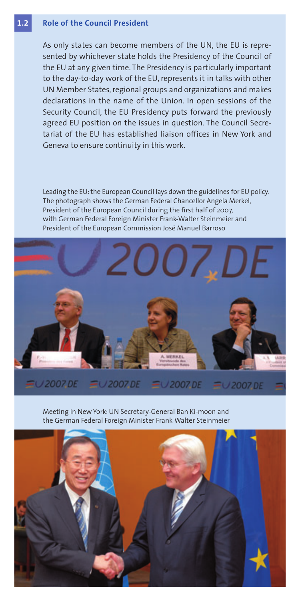#### **1.2Role of the Council President**

As only states can become members of the UN, the EU is represented by whichever state holds the Presidency of the Council of the EU at any given time. The Presidency is particularly important to the day-to-day work of the EU, represents it in talks with other UN Member States, regional groups and organizations and makes declarations in the name of the Union. In open sessions of the Security Council, the EU Presidency puts forward the previously agreed EU position on the issues in question. The Council Secretariat of the EU has established liaison offices in New York and Geneva to ensure continuity in this work.

Leading the EU: the European Council lays down the guidelines for EU policy. The photograph shows the German Federal Chancellor Angela Merkel, President of the European Council during the first half of 2007, with German Federal Foreign Minister Frank-Walter Steinmeier and President of the European Commission José Manuel Barroso



Meeting in New York: UN Secretary-General Ban Ki-moon and the German Federal Foreign Minister Frank-Walter Steinmeier

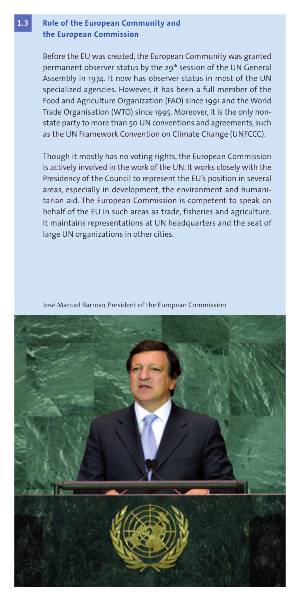### **1.3 Role of the European Community and the European Commission**

Before the EU was created, the European Community was granted permanent observer status by the 29**th** session of the UN General Assembly in 1974. It now has observer status in most of the UN specialized agencies. However, it has been a full member of the Food and Agriculture Organization (FAO) since 1991 and the World Trade Organisation (WTO) since 1995. Moreover, it is the only nonstate party to more than 50 UN conventions and agreements, such as the UN Framework Convention on Climate Change (UNFCCC).

Though it mostly has no voting rights, the European Commission is actively involved in the work of the UN. It works closely with the Presidency of the Council to represent the EU's position in several areas, especially in development, the environment and humanitarian aid. The European Commission is competent to speak on behalf of the EU in such areas as trade, fisheries and agriculture. It maintains representations at UN headquarters and the seat of large UN organizations in other cities.

José Manuel Barroso, President of the European Commission

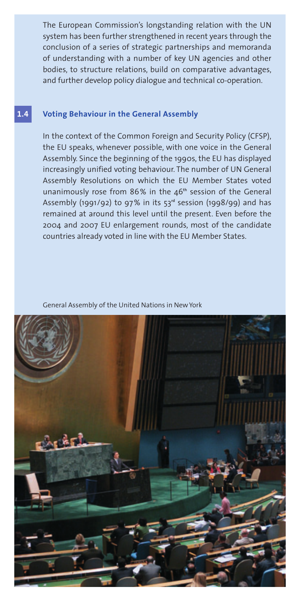The European Commission's longstanding relation with the UN system has been further strengthened in recent years through the conclusion of a series of strategic partnerships and memoranda of understanding with a number of key UN agencies and other bodies, to structure relations, build on comparative advantages, and further develop policy dialogue and technical co-operation.

#### **1.4Voting Behaviour in the General Assembly**

In the context of the Common Foreign and Security Policy (CFSP), the EU speaks, whenever possible, with one voice in the General Assembly. Since the beginning of the 1990s, the EU has displayed increasingly unified voting behaviour. The number of UN General Assembly Resolutions on which the EU Member States voted unanimously rose from 86% in the 46**th** session of the General Assembly (1991/92) to 97 % in its 53**rd** session (1998/99) and has remained at around this level until the present. Even before the 2004 and 2007 EU enlargement rounds, most of the candidate countries already voted in line with the EU Member States.

General Assembly of the United Nations in New York

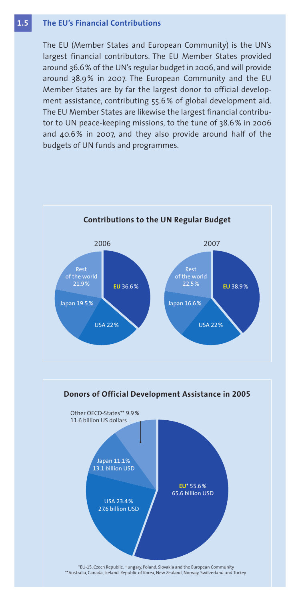#### **1.5The EU's Financial Contributions**

The EU (Member States and European Community) is the UN's largest financial contributors. The EU Member States provided around 36.6% of the UN's regular budget in 2006, and will provide around 38.9% in 2007. The European Community and the EU Member States are by far the largest donor to official development assistance, contributing 55.6% of global development aid. The EU Member States are likewise the largest financial contributor to UN peace-keeping missions, to the tune of 38.6% in 2006 and 40.6% in 2007, and they also provide around half of the budgets of UN funds and programmes.

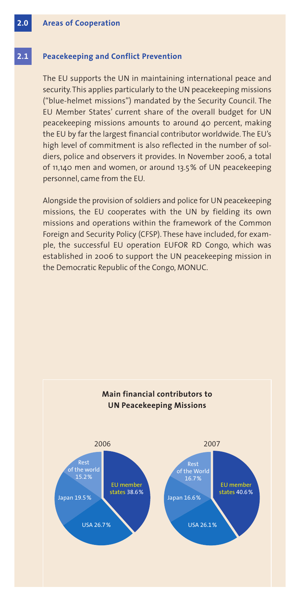#### **2.1Peacekeeping and Conflict Prevention**

The EU supports the UN in maintaining international peace and security. This applies particularly to the UN peacekeeping missions ("blue-helmet missions") mandated by the Security Council. The EU Member States' current share of the overall budget for UN peacekeeping missions amounts to around 40 percent, making the EU by far the largest financial contributor worldwide. The EU's high level of commitment is also reflected in the number of soldiers, police and observers it provides. In November 2006, a total of 11,140 men and women, or around 13.5% of UN peacekeeping personnel, came from the EU.

Alongside the provision of soldiers and police for UN peacekeeping missions, the EU cooperates with the UN by fielding its own missions and operations within the framework of the Common Foreign and Security Policy (CFSP). These have included, for example, the successful EU operation EUFOR RD Congo, which was established in 2006 to support the UN peacekeeping mission in the Democratic Republic of the Congo, MONUC.

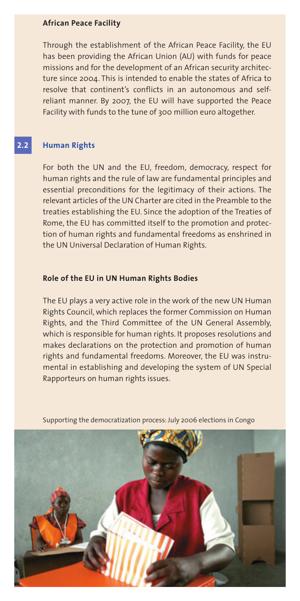## **African Peace Facility**

Through the establishment of the African Peace Facility, the EU has been providing the African Union (AU) with funds for peace missions and for the development of an African security architecture since 2004. This is intended to enable the states of Africa to resolve that continent's conflicts in an autonomous and selfreliant manner. By 2007, the EU will have supported the Peace Facility with funds to the tune of 300 million euro altogether.

#### **2.2Human Rights**

For both the UN and the EU, freedom, democracy, respect for human rights and the rule of law are fundamental principles and essential preconditions for the legitimacy of their actions. The relevant articles of the UN Charter are cited in the Preamble to the treaties establishing the EU. Since the adoption of the Treaties of Rome, the EU has committed itself to the promotion and protection of human rights and fundamental freedoms as enshrined in the UN Universal Declaration of Human Rights.

### **Role of the EU in UN Human Rights Bodies**

The EU plays a very active role in the work of the new UN Human Rights Council, which replaces the former Commission on Human Rights, and the Third Committee of the UN General Assembly, which is responsible for human rights. It proposes resolutions and makes declarations on the protection and promotion of human rights and fundamental freedoms. Moreover, the EU was instrumental in establishing and developing the system of UN Special Rapporteurs on human rights issues.



Supporting the democratization process: July 2006 elections in Congo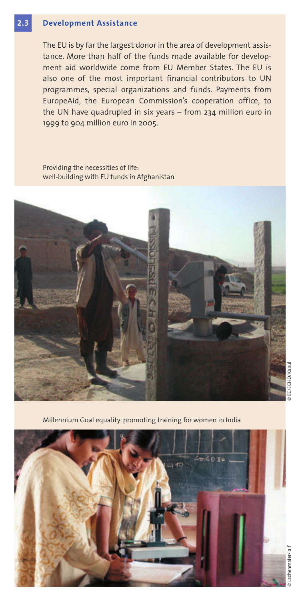#### **2.3Development Assistance**

The EU is by far the largest donor in the area of development assistance. More than half of the funds made available for development aid worldwide come from EU Member States. The EU is also one of the most important financial contributors to UN programmes, special organizations and funds. Payments from EuropeAid, the European Commission's cooperation office, to the UN have quadrupled in six years – from 234 million euro in 1999 to 904 million euro in 2005.

Providing the necessities of life: well-building with EU funds in Afghanistan



Millennium Goal equality: promoting training for women in India



achenmaier/la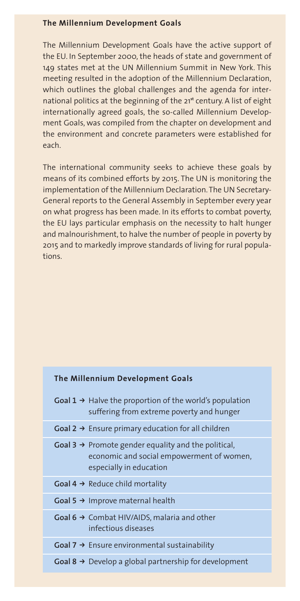### **The Millennium Development Goals**

The Millennium Development Goals have the active support of the EU. In September 2000, the heads of state and government of 149 states met at the UN Millennium Summit in New York. This meeting resulted in the adoption of the Millennium Declaration, which outlines the global challenges and the agenda for international politics at the beginning of the 21**st** century. A list of eight internationally agreed goals, the so-called Millennium Development Goals, was compiled from the chapter on development and the environment and concrete parameters were established for each.

The international community seeks to achieve these goals by means of its combined efforts by 2015. The UN is monitoring the implementation of the Millennium Declaration. The UN Secretary-General reports to the General Assembly in September every year on what progress has been made. In its efforts to combat poverty, the EU lays particular emphasis on the necessity to halt hunger and malnourishment, to halve the number of people in poverty by 2015 and to markedly improve standards of living for rural populations.

### **The Millennium Development Goals**

| Goal $1 \rightarrow$ Halve the proportion of the world's population<br>suffering from extreme poverty and hunger                        |
|-----------------------------------------------------------------------------------------------------------------------------------------|
| Goal $2 \rightarrow$ Ensure primary education for all children                                                                          |
| Goal $3 \rightarrow$ Promote gender equality and the political,<br>economic and social empowerment of women,<br>especially in education |
| Goal $4 \rightarrow$ Reduce child mortality                                                                                             |
| Goal 5 $\rightarrow$ Improve maternal health                                                                                            |
| Goal $6 \rightarrow$ Combat HIV/AIDS, malaria and other<br>infectious diseases                                                          |
| Goal $7 \rightarrow$ Ensure environmental sustainability                                                                                |
| <b>Goal 8 <math>\rightarrow</math></b> Develop a global partnership for development                                                     |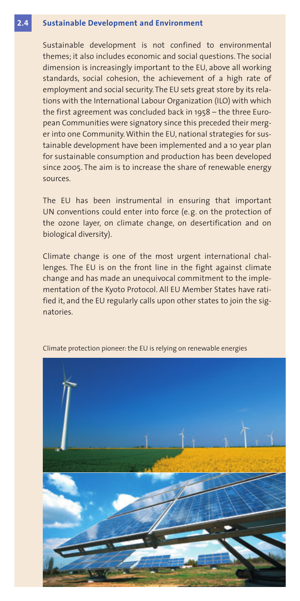#### **2.4Sustainable Development and Environment**

Sustainable development is not confined to environmental themes; it also includes economic and social questions. The social dimension is increasingly important to the EU, above all working standards, social cohesion, the achievement of a high rate of employment and social security. The EU sets great store by its relations with the International Labour Organization (ILO) with which the first agreement was concluded back in 1958 – the three European Communities were signatory since this preceded their merger into one Community. Within the EU, national strategies for sustainable development have been implemented and a 10 year plan for sustainable consumption and production has been developed since 2005. The aim is to increase the share of renewable energy sources.

The EU has been instrumental in ensuring that important UN conventions could enter into force (e.g. on the protection of the ozone layer, on climate change, on desertification and on biological diversity).

Climate change is one of the most urgent international challenges. The EU is on the front line in the fight against climate change and has made an unequivocal commitment to the implementation of the Kyoto Protocol. All EU Member States have ratified it, and the EU regularly calls upon other states to join the signatories.



Climate protection pioneer: the EU is relying on renewable energies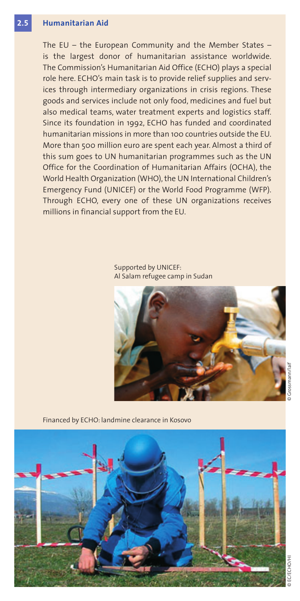#### **2.5Humanitarian Aid**

The EU – the European Community and the Member States – is the largest donor of humanitarian assistance worldwide. The Commission's Humanitarian Aid Office (ECHO) plays a special role here. ECHO's main task is to provide relief supplies and services through intermediary organizations in crisis regions. These goods and services include not only food, medicines and fuel but also medical teams, water treatment experts and logistics staff. Since its foundation in 1992, ECHO has funded and coordinated humanitarian missions in more than 100 countries outside the EU. More than 500 million euro are spent each year. Almost a third of this sum goes to UN humanitarian programmes such as the UN Office for the Coordination of Humanitarian Affairs (OCHA), the World Health Organization (WHO), the UN International Children's Emergency Fund (UNICEF) or the World Food Programme (WFP). Through ECHO, every one of these UN organizations receives millions in financial support from the EU.

> Supported by UNICEF: Al Salam refugee camp in Sudan



Financed by ECHO: landmine clearance in Kosovo



E/OHD: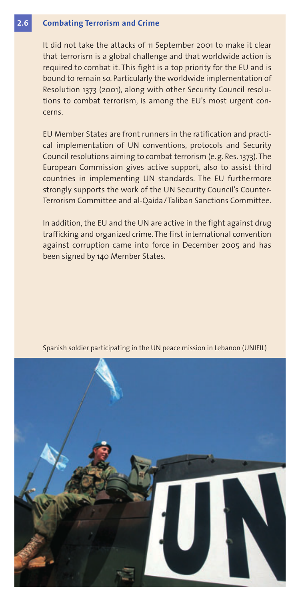#### **2.6Combating Terrorism and Crime**

It did not take the attacks of 11 September 2001 to make it clear that terrorism is a global challenge and that worldwide action is required to combat it. This fight is a top priority for the EU and is bound to remain so. Particularly the worldwide implementation of Resolution 1373 (2001), along with other Security Council resolutions to combat terrorism, is among the EU's most urgent concerns.

EU Member States are front runners in the ratification and practical implementation of UN conventions, protocols and Security Council resolutions aiming to combat terrorism (e.g. Res. 1373). The European Commission gives active support, also to assist third countries in implementing UN standards. The EU furthermore strongly supports the work of the UN Security Council's Counter-Terrorism Committee and al-Qaida/Taliban Sanctions Committee.

In addition, the EU and the UN are active in the fight against drug trafficking and organized crime. The first international convention against corruption came into force in December 2005 and has been signed by 140 Member States.



Spanish soldier participating in the UN peace mission in Lebanon (UNIFIL)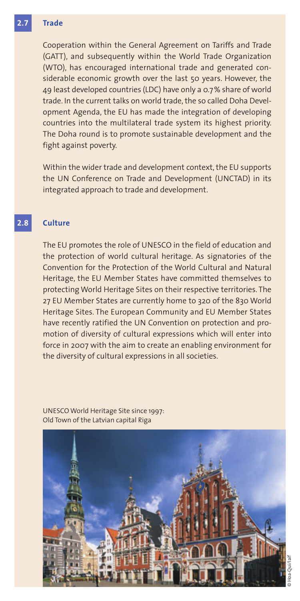#### **2.7Trade**

Cooperation within the General Agreement on Tariffs and Trade (GATT), and subsequently within the World Trade Organization (WTO), has encouraged international trade and generated considerable economic growth over the last 50 years. However, the 49 least developed countries (LDC) have only a 0.7 % share of world trade. In the current talks on world trade, the so called Doha Development Agenda, the EU has made the integration of developing countries into the multilateral trade system its highest priority. The Doha round is to promote sustainable development and the fight against poverty.

Within the wider trade and development context, the EU supports the UN Conference on Trade and Development (UNCTAD) in its integrated approach to trade and development.

#### **2.8Culture**

The EU promotes the role of UNESCO in the field of education and the protection of world cultural heritage. As signatories of the Convention for the Protection of the World Cultural and Natural Heritage, the EU Member States have committed themselves to protecting World Heritage Sites on their respective territories. The 27 EU Member States are currently home to 320 of the 830 World Heritage Sites. The European Community and EU Member States have recently ratified the UN Convention on protection and promotion of diversity of cultural expressions which will enter into force in 2007 with the aim to create an enabling environment for the diversity of cultural expressions in all societies.

UNESCO World Heritage Site since 1997: Old Town of the Latvian capital Riga